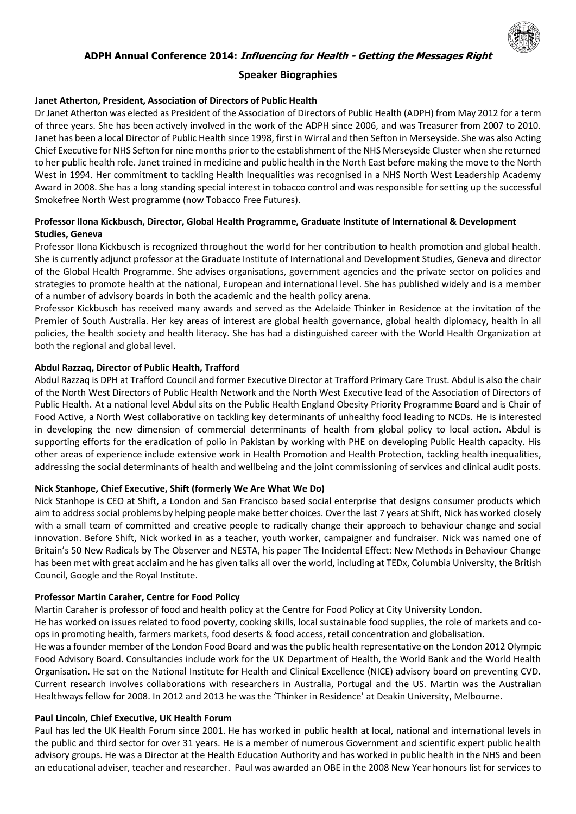

# **Speaker Biographies**

### **Janet Atherton, President, Association of Directors of Public Health**

Dr Janet Atherton was elected as President of the Association of Directors of Public Health (ADPH) from May 2012 for a term of three years. She has been actively involved in the work of the ADPH since 2006, and was Treasurer from 2007 to 2010. Janet has been a local Director of Public Health since 1998, first in Wirral and then Sefton in Merseyside. She was also Acting Chief Executive for NHS Sefton for nine months prior to the establishment of the NHS Merseyside Cluster when she returned to her public health role. Janet trained in medicine and public health in the North East before making the move to the North West in 1994. Her commitment to tackling Health Inequalities was recognised in a NHS North West Leadership Academy Award in 2008. She has a long standing special interest in tobacco control and was responsible for setting up the successful Smokefree North West programme (now Tobacco Free Futures).

# **Professor Ilona Kickbusch, Director, Global Health Programme, Graduate Institute of International & Development Studies, Geneva**

Professor Ilona Kickbusch is recognized throughout the world for her contribution to health promotion and global health. She is currently adjunct professor at the Graduate Institute of International and Development Studies, Geneva and director of the Global Health Programme. She advises organisations, government agencies and the private sector on policies and strategies to promote health at the national, European and international level. She has published widely and is a member of a number of advisory boards in both the academic and the health policy arena.

Professor Kickbusch has received many awards and served as the Adelaide Thinker in Residence at the invitation of the Premier of South Australia. Her key areas of interest are global health governance, global health diplomacy, health in all policies, the health society and health literacy. She has had a distinguished career with the World Health Organization at both the regional and global level.

### **Abdul Razzaq, Director of Public Health, Trafford**

Abdul Razzaq is DPH at Trafford Council and former Executive Director at Trafford Primary Care Trust. Abdul is also the chair of the North West Directors of Public Health Network and the North West Executive lead of the Association of Directors of Public Health. At a national level Abdul sits on the Public Health England Obesity Priority Programme Board and is Chair of Food Active, a North West collaborative on tackling key determinants of unhealthy food leading to NCDs. He is interested in developing the new dimension of commercial determinants of health from global policy to local action. Abdul is supporting efforts for the eradication of polio in Pakistan by working with PHE on developing Public Health capacity. His other areas of experience include extensive work in Health Promotion and Health Protection, tackling health inequalities, addressing the social determinants of health and wellbeing and the joint commissioning of services and clinical audit posts.

#### **Nick Stanhope, Chief Executive, Shift (formerly We Are What We Do)**

Nick Stanhope is CEO at Shift, a London and San Francisco based social enterprise that designs consumer products which aim to address social problems by helping people make better choices. Over the last 7 years at Shift, Nick has worked closely with a small team of committed and creative people to radically change their approach to behaviour change and social innovation. Before Shift, Nick worked in as a teacher, youth worker, campaigner and fundraiser. Nick was named one of Britain's 50 New Radicals by The Observer and NESTA, his paper The Incidental Effect: New Methods in Behaviour Change has been met with great acclaim and he has given talks all over the world, including at TEDx, Columbia University, the British Council, Google and the Royal Institute.

#### **Professor Martin Caraher, Centre for Food Policy**

Martin Caraher is professor of food and health policy at the Centre for Food Policy at City University London.

He has worked on issues related to food poverty, cooking skills, local sustainable food supplies, the role of markets and coops in promoting health, farmers markets, food deserts & food access, retail concentration and globalisation.

He was a founder member of the London Food Board and was the public health representative on the London 2012 Olympic Food Advisory Board. Consultancies include work for the UK Department of Health, the World Bank and the World Health Organisation. He sat on the National Institute for Health and Clinical Excellence (NICE) advisory board on preventing CVD. Current research involves collaborations with researchers in Australia, Portugal and the US. Martin was the Australian Healthways fellow for 2008. In 2012 and 2013 he was the 'Thinker in Residence' at Deakin University, Melbourne.

## **Paul Lincoln, Chief Executive, UK Health Forum**

Paul has led the UK Health Forum since 2001. He has worked in public health at local, national and international levels in the public and third sector for over 31 years. He is a member of numerous Government and scientific expert public health advisory groups. He was a Director at the Health Education Authority and has worked in public health in the NHS and been an educational adviser, teacher and researcher. Paul was awarded an OBE in the 2008 New Year honours list for services to